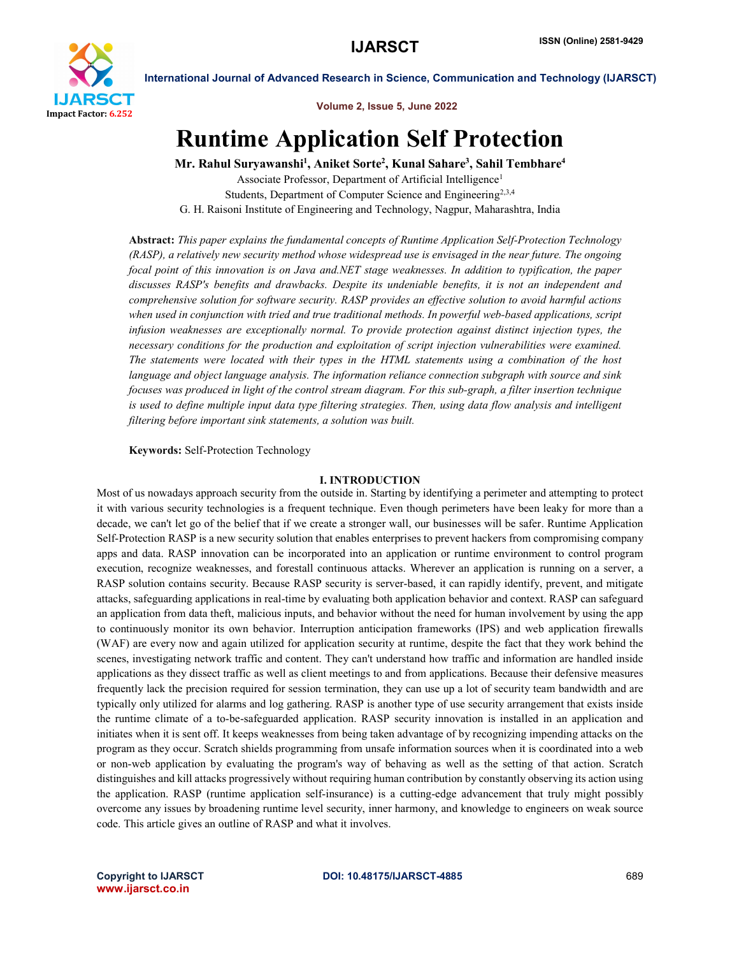

Volume 2, Issue 5, June 2022

# Runtime Application Self Protection

Mr. Rahul Suryawanshi<sup>1</sup>, Aniket Sorte<sup>2</sup>, Kunal Sahare<sup>3</sup>, Sahil Tembhare<sup>4</sup>

Associate Professor, Department of Artificial Intelligence<sup>1</sup> Students, Department of Computer Science and Engineering<sup>2,3,4</sup> G. H. Raisoni Institute of Engineering and Technology, Nagpur, Maharashtra, India

Abstract: *This paper explains the fundamental concepts of Runtime Application Self-Protection Technology (RASP), a relatively new security method whose widespread use is envisaged in the near future. The ongoing focal point of this innovation is on Java and.NET stage weaknesses. In addition to typification, the paper discusses RASP's benefits and drawbacks. Despite its undeniable benefits, it is not an independent and comprehensive solution for software security. RASP provides an effective solution to avoid harmful actions when used in conjunction with tried and true traditional methods. In powerful web-based applications, script infusion weaknesses are exceptionally normal. To provide protection against distinct injection types, the necessary conditions for the production and exploitation of script injection vulnerabilities were examined. The statements were located with their types in the HTML statements using a combination of the host language and object language analysis. The information reliance connection subgraph with source and sink focuses was produced in light of the control stream diagram. For this sub-graph, a filter insertion technique is used to define multiple input data type filtering strategies. Then, using data flow analysis and intelligent filtering before important sink statements, a solution was built.*

Keywords: Self-Protection Technology

### I. INTRODUCTION

Most of us nowadays approach security from the outside in. Starting by identifying a perimeter and attempting to protect it with various security technologies is a frequent technique. Even though perimeters have been leaky for more than a decade, we can't let go of the belief that if we create a stronger wall, our businesses will be safer. Runtime Application Self-Protection RASP is a new security solution that enables enterprises to prevent hackers from compromising company apps and data. RASP innovation can be incorporated into an application or runtime environment to control program execution, recognize weaknesses, and forestall continuous attacks. Wherever an application is running on a server, a RASP solution contains security. Because RASP security is server-based, it can rapidly identify, prevent, and mitigate attacks, safeguarding applications in real-time by evaluating both application behavior and context. RASP can safeguard an application from data theft, malicious inputs, and behavior without the need for human involvement by using the app to continuously monitor its own behavior. Interruption anticipation frameworks (IPS) and web application firewalls (WAF) are every now and again utilized for application security at runtime, despite the fact that they work behind the scenes, investigating network traffic and content. They can't understand how traffic and information are handled inside applications as they dissect traffic as well as client meetings to and from applications. Because their defensive measures frequently lack the precision required for session termination, they can use up a lot of security team bandwidth and are typically only utilized for alarms and log gathering. RASP is another type of use security arrangement that exists inside the runtime climate of a to-be-safeguarded application. RASP security innovation is installed in an application and initiates when it is sent off. It keeps weaknesses from being taken advantage of by recognizing impending attacks on the program as they occur. Scratch shields programming from unsafe information sources when it is coordinated into a web or non-web application by evaluating the program's way of behaving as well as the setting of that action. Scratch distinguishes and kill attacks progressively without requiring human contribution by constantly observing its action using the application. RASP (runtime application self-insurance) is a cutting-edge advancement that truly might possibly overcome any issues by broadening runtime level security, inner harmony, and knowledge to engineers on weak source code. This article gives an outline of RASP and what it involves.

www.ijarsct.co.in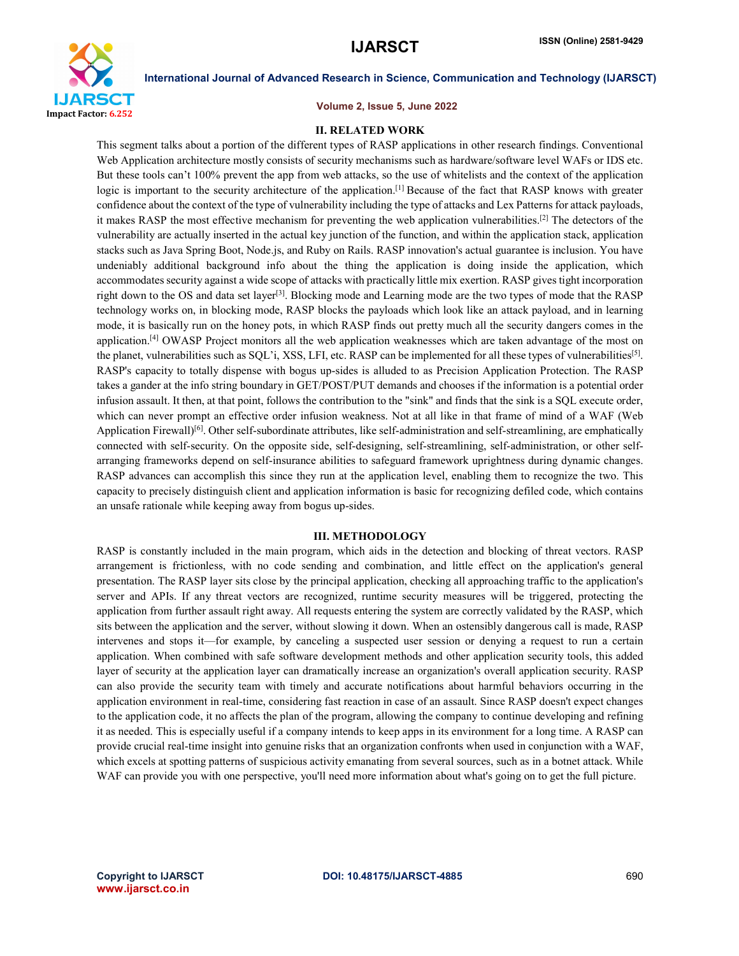

Volume 2, Issue 5, June 2022

### II. RELATED WORK

This segment talks about a portion of the different types of RASP applications in other research findings. Conventional Web Application architecture mostly consists of security mechanisms such as hardware/software level WAFs or IDS etc. But these tools can't 100% prevent the app from web attacks, so the use of whitelists and the context of the application logic is important to the security architecture of the application.[1] Because of the fact that RASP knows with greater confidence about the context of the type of vulnerability including the type of attacks and Lex Patterns for attack payloads, it makes RASP the most effective mechanism for preventing the web application vulnerabilities.<sup>[2]</sup> The detectors of the vulnerability are actually inserted in the actual key junction of the function, and within the application stack, application stacks such as Java Spring Boot, Node.js, and Ruby on Rails. RASP innovation's actual guarantee is inclusion. You have undeniably additional background info about the thing the application is doing inside the application, which accommodates security against a wide scope of attacks with practically little mix exertion. RASP gives tight incorporation right down to the OS and data set layer<sup>[3]</sup>. Blocking mode and Learning mode are the two types of mode that the RASP technology works on, in blocking mode, RASP blocks the payloads which look like an attack payload, and in learning mode, it is basically run on the honey pots, in which RASP finds out pretty much all the security dangers comes in the application.<sup>[4]</sup> OWASP Project monitors all the web application weaknesses which are taken advantage of the most on the planet, vulnerabilities such as SQL'i, XSS, LFI, etc. RASP can be implemented for all these types of vulnerabilities<sup>[5]</sup>. RASP's capacity to totally dispense with bogus up-sides is alluded to as Precision Application Protection. The RASP takes a gander at the info string boundary in GET/POST/PUT demands and chooses if the information is a potential order infusion assault. It then, at that point, follows the contribution to the "sink" and finds that the sink is a SQL execute order, which can never prompt an effective order infusion weakness. Not at all like in that frame of mind of a WAF (Web Application Firewall)<sup>[6]</sup>. Other self-subordinate attributes, like self-administration and self-streamlining, are emphatically connected with self-security. On the opposite side, self-designing, self-streamlining, self-administration, or other selfarranging frameworks depend on self-insurance abilities to safeguard framework uprightness during dynamic changes. RASP advances can accomplish this since they run at the application level, enabling them to recognize the two. This capacity to precisely distinguish client and application information is basic for recognizing defiled code, which contains an unsafe rationale while keeping away from bogus up-sides.

## III. METHODOLOGY

RASP is constantly included in the main program, which aids in the detection and blocking of threat vectors. RASP arrangement is frictionless, with no code sending and combination, and little effect on the application's general presentation. The RASP layer sits close by the principal application, checking all approaching traffic to the application's server and APIs. If any threat vectors are recognized, runtime security measures will be triggered, protecting the application from further assault right away. All requests entering the system are correctly validated by the RASP, which sits between the application and the server, without slowing it down. When an ostensibly dangerous call is made, RASP intervenes and stops it—for example, by canceling a suspected user session or denying a request to run a certain application. When combined with safe software development methods and other application security tools, this added layer of security at the application layer can dramatically increase an organization's overall application security. RASP can also provide the security team with timely and accurate notifications about harmful behaviors occurring in the application environment in real-time, considering fast reaction in case of an assault. Since RASP doesn't expect changes to the application code, it no affects the plan of the program, allowing the company to continue developing and refining it as needed. This is especially useful if a company intends to keep apps in its environment for a long time. A RASP can provide crucial real-time insight into genuine risks that an organization confronts when used in conjunction with a WAF, which excels at spotting patterns of suspicious activity emanating from several sources, such as in a botnet attack. While WAF can provide you with one perspective, you'll need more information about what's going on to get the full picture.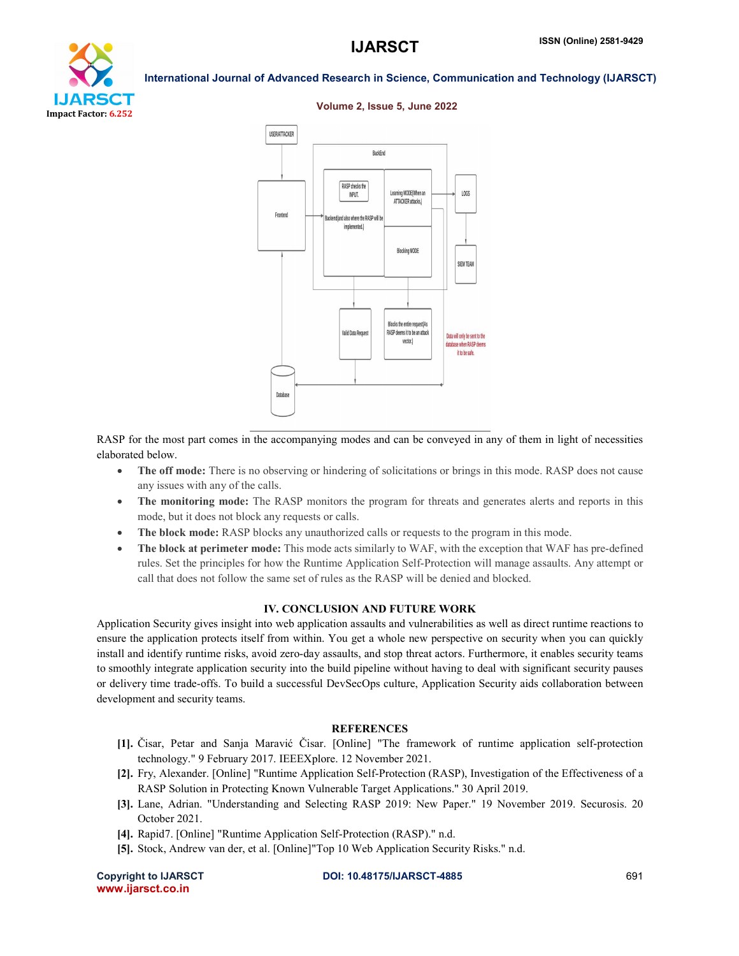



### Volume 2, Issue 5, June 2022

RASP for the most part comes in the accompanying modes and can be conveyed in any of them in light of necessities elaborated below.

- The off mode: There is no observing or hindering of solicitations or brings in this mode. RASP does not cause any issues with any of the calls.
- The monitoring mode: The RASP monitors the program for threats and generates alerts and reports in this mode, but it does not block any requests or calls.
- The block mode: RASP blocks any unauthorized calls or requests to the program in this mode.
- The block at perimeter mode: This mode acts similarly to WAF, with the exception that WAF has pre-defined rules. Set the principles for how the Runtime Application Self-Protection will manage assaults. Any attempt or call that does not follow the same set of rules as the RASP will be denied and blocked.

### IV. CONCLUSION AND FUTURE WORK

Application Security gives insight into web application assaults and vulnerabilities as well as direct runtime reactions to ensure the application protects itself from within. You get a whole new perspective on security when you can quickly install and identify runtime risks, avoid zero-day assaults, and stop threat actors. Furthermore, it enables security teams to smoothly integrate application security into the build pipeline without having to deal with significant security pauses or delivery time trade-offs. To build a successful DevSecOps culture, Application Security aids collaboration between development and security teams.

# **REFERENCES**

- [1]. Čisar, Petar and Sanja Maravić Čisar. [Online] "The framework of runtime application self-protection technology." 9 February 2017. IEEEXplore. 12 November 2021.
- [2]. Fry, Alexander. [Online] "Runtime Application Self-Protection (RASP), Investigation of the Effectiveness of a RASP Solution in Protecting Known Vulnerable Target Applications." 30 April 2019.
- [3]. Lane, Adrian. "Understanding and Selecting RASP 2019: New Paper." 19 November 2019. Securosis. 20 October 2021.
- [4]. Rapid7. [Online] "Runtime Application Self-Protection (RASP)." n.d.
- [5]. Stock, Andrew van der, et al. [Online]"Top 10 Web Application Security Risks." n.d.

www.ijarsct.co.in

Copyright to IJARSCT DOI: 10.48175/IJARSCT-4885 691